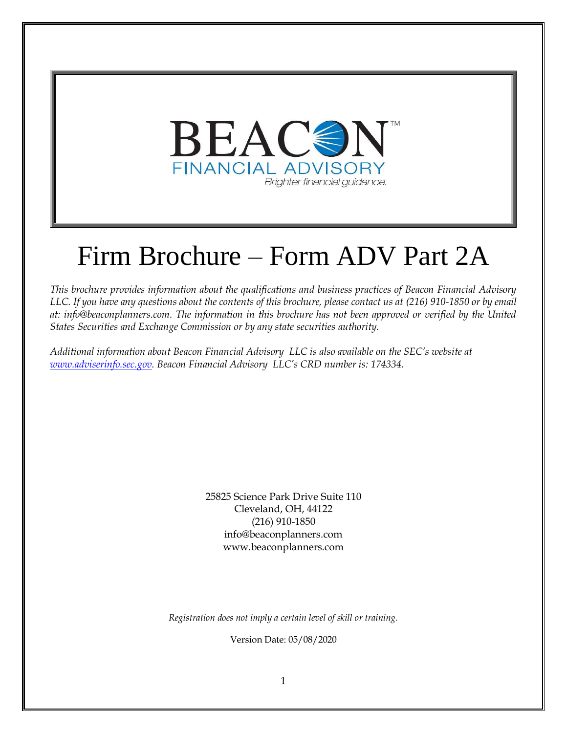

# Firm Brochure – Form ADV Part 2A

*This brochure provides information about the qualifications and business practices of Beacon Financial Advisory LLC. If you have any questions about the contents of this brochure, please contact us at (216) 910-1850 or by email at: info@beaconplanners.com. The information in this brochure has not been approved or verified by the United States Securities and Exchange Commission or by any state securities authority.*

*Additional information about Beacon Financial Advisory LLC is also available on the SEC's website at [www.adviserinfo.sec.gov.](http://www.adviserinfo.sec.gov/) Beacon Financial Advisory LLC's CRD number is: 174334*.

> 25825 Science Park Drive Suite 110 Cleveland, OH, 44122 (216) 910-1850 info@beaconplanners.com www.beaconplanners.com

*Registration does not imply a certain level of skill or training.*

Version Date: 05/08/2020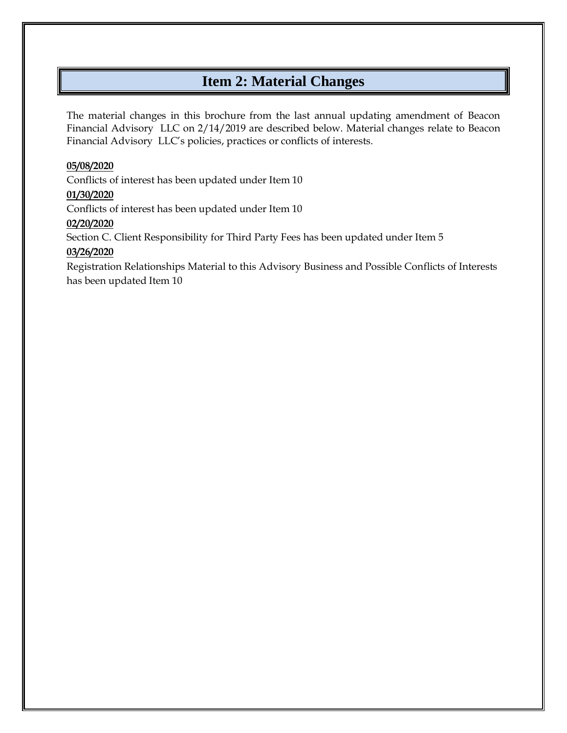# **Item 2: Material Changes**

<span id="page-1-0"></span>The material changes in this brochure from the last annual updating amendment of Beacon Financial Advisory LLC on 2/14/2019 are described below. Material changes relate to Beacon Financial Advisory LLC's policies, practices or conflicts of interests.

#### **05/08/2020**

Conflicts of interest has been updated under Item 10

#### **01/30/2020**

Conflicts of interest has been updated under Item 10

#### **02/20/2020**

Section C. Client Responsibility for Third Party Fees has been updated under Item 5

# **03/26/2020**

Registration Relationships Material to this Advisory Business and Possible Conflicts of Interests has been updated Item 10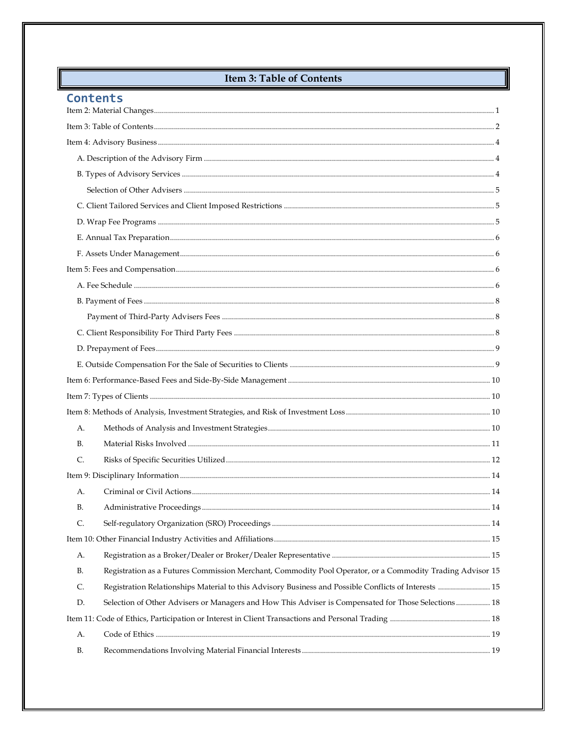# **Item 3: Table of Contents**

# <span id="page-2-0"></span>Contents

| А.             |                                                                                                           |  |  |
|----------------|-----------------------------------------------------------------------------------------------------------|--|--|
| <b>B.</b>      |                                                                                                           |  |  |
| $\mathsf{C}$ . |                                                                                                           |  |  |
|                |                                                                                                           |  |  |
| А.             |                                                                                                           |  |  |
| В.             |                                                                                                           |  |  |
| C.             |                                                                                                           |  |  |
|                |                                                                                                           |  |  |
| А.             |                                                                                                           |  |  |
| <b>B.</b>      | Registration as a Futures Commission Merchant, Commodity Pool Operator, or a Commodity Trading Advisor 15 |  |  |
| C.             | Registration Relationships Material to this Advisory Business and Possible Conflicts of Interests  15     |  |  |
| D.             | Selection of Other Advisers or Managers and How This Adviser is Compensated for Those Selections 18       |  |  |
|                |                                                                                                           |  |  |
| А.             |                                                                                                           |  |  |
| B.             |                                                                                                           |  |  |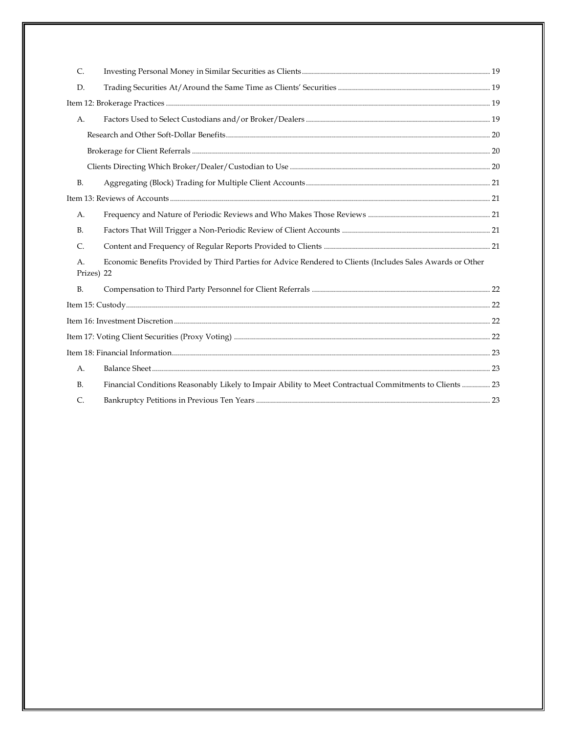| $\mathsf{C}$     |                                                                                                            |  |  |
|------------------|------------------------------------------------------------------------------------------------------------|--|--|
| D.               |                                                                                                            |  |  |
|                  |                                                                                                            |  |  |
| А.               |                                                                                                            |  |  |
|                  |                                                                                                            |  |  |
|                  |                                                                                                            |  |  |
|                  |                                                                                                            |  |  |
| <b>B.</b>        |                                                                                                            |  |  |
|                  |                                                                                                            |  |  |
| А.               |                                                                                                            |  |  |
| <b>B.</b>        |                                                                                                            |  |  |
| C.               |                                                                                                            |  |  |
| A.<br>Prizes) 22 | Economic Benefits Provided by Third Parties for Advice Rendered to Clients (Includes Sales Awards or Other |  |  |
| <b>B.</b>        |                                                                                                            |  |  |
|                  |                                                                                                            |  |  |
|                  |                                                                                                            |  |  |
|                  |                                                                                                            |  |  |
|                  |                                                                                                            |  |  |
| A.               |                                                                                                            |  |  |
| <b>B.</b>        | Financial Conditions Reasonably Likely to Impair Ability to Meet Contractual Commitments to Clients  23    |  |  |
| $\mathsf{C}$ .   |                                                                                                            |  |  |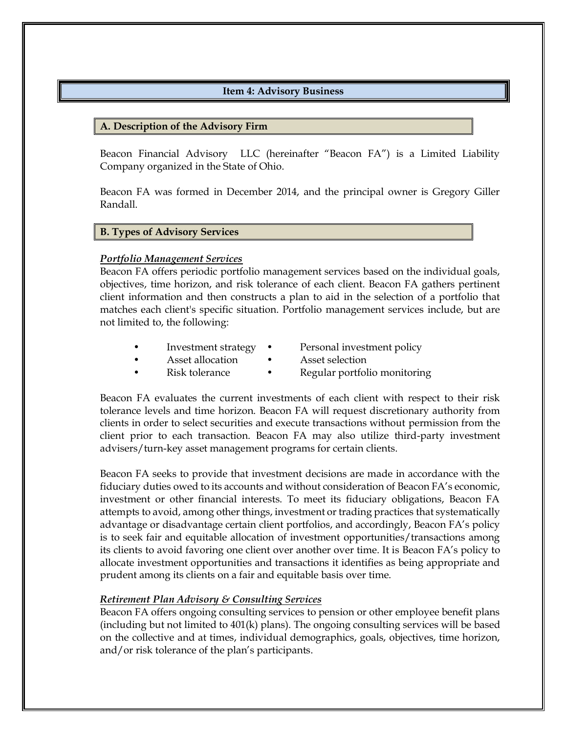#### **Item 4: Advisory Business**

#### <span id="page-4-1"></span><span id="page-4-0"></span>**A. Description of the Advisory Firm**

Beacon Financial Advisory LLC (hereinafter "Beacon FA") is a Limited Liability Company organized in the State of Ohio.

Beacon FA was formed in December 2014, and the principal owner is Gregory Giller Randall.

#### <span id="page-4-2"></span>**B. Types of Advisory Services**

#### *Portfolio Management Services*

Beacon FA offers periodic portfolio management services based on the individual goals, objectives, time horizon, and risk tolerance of each client. Beacon FA gathers pertinent client information and then constructs a plan to aid in the selection of a portfolio that matches each client's specific situation. Portfolio management services include, but are not limited to, the following:

- Investment strategy Personal investment policy
- Asset allocation Asset selection
	- Risk tolerance Regular portfolio monitoring

Beacon FA evaluates the current investments of each client with respect to their risk tolerance levels and time horizon. Beacon FA will request discretionary authority from clients in order to select securities and execute transactions without permission from the client prior to each transaction. Beacon FA may also utilize third-party investment advisers/turn-key asset management programs for certain clients.

Beacon FA seeks to provide that investment decisions are made in accordance with the fiduciary duties owed to its accounts and without consideration of Beacon FA's economic, investment or other financial interests. To meet its fiduciary obligations, Beacon FA attempts to avoid, among other things, investment or trading practices that systematically advantage or disadvantage certain client portfolios, and accordingly, Beacon FA's policy is to seek fair and equitable allocation of investment opportunities/transactions among its clients to avoid favoring one client over another over time. It is Beacon FA's policy to allocate investment opportunities and transactions it identifies as being appropriate and prudent among its clients on a fair and equitable basis over time.

#### *Retirement Plan Advisory & Consulting Services*

Beacon FA offers ongoing consulting services to pension or other employee benefit plans (including but not limited to  $401(k)$  plans). The ongoing consulting services will be based on the collective and at times, individual demographics, goals, objectives, time horizon, and/or risk tolerance of the plan's participants.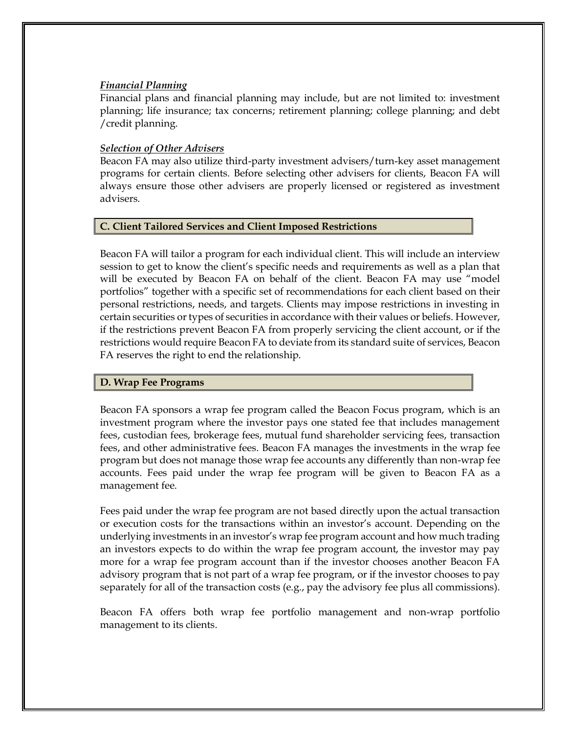#### *Financial Planning*

Financial plans and financial planning may include, but are not limited to: investment planning; life insurance; tax concerns; retirement planning; college planning; and debt /credit planning.

#### <span id="page-5-0"></span>*Selection of Other Advisers*

Beacon FA may also utilize third-party investment advisers/turn-key asset management programs for certain clients. Before selecting other advisers for clients, Beacon FA will always ensure those other advisers are properly licensed or registered as investment advisers.

# <span id="page-5-1"></span>**C. Client Tailored Services and Client Imposed Restrictions**

Beacon FA will tailor a program for each individual client. This will include an interview session to get to know the client's specific needs and requirements as well as a plan that will be executed by Beacon FA on behalf of the client. Beacon FA may use "model portfolios" together with a specific set of recommendations for each client based on their personal restrictions, needs, and targets. Clients may impose restrictions in investing in certain securities or types of securities in accordance with their values or beliefs. However, if the restrictions prevent Beacon FA from properly servicing the client account, or if the restrictions would require Beacon FA to deviate from its standard suite of services, Beacon FA reserves the right to end the relationship.

#### <span id="page-5-2"></span>**D. Wrap Fee Programs**

Beacon FA sponsors a wrap fee program called the Beacon Focus program, which is an investment program where the investor pays one stated fee that includes management fees, custodian fees, brokerage fees, mutual fund shareholder servicing fees, transaction fees, and other administrative fees. Beacon FA manages the investments in the wrap fee program but does not manage those wrap fee accounts any differently than non-wrap fee accounts. Fees paid under the wrap fee program will be given to Beacon FA as a management fee.

Fees paid under the wrap fee program are not based directly upon the actual transaction or execution costs for the transactions within an investor's account. Depending on the underlying investments in an investor's wrap fee program account and how much trading an investors expects to do within the wrap fee program account, the investor may pay more for a wrap fee program account than if the investor chooses another Beacon FA advisory program that is not part of a wrap fee program, or if the investor chooses to pay separately for all of the transaction costs (e.g., pay the advisory fee plus all commissions).

Beacon FA offers both wrap fee portfolio management and non-wrap portfolio management to its clients.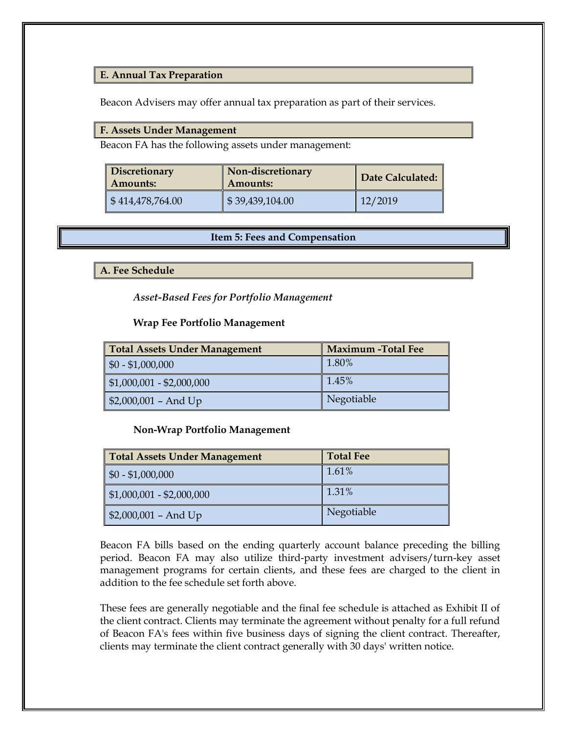#### <span id="page-6-0"></span>**E. Annual Tax Preparation**

Beacon Advisers may offer annual tax preparation as part of their services.

# <span id="page-6-1"></span>**F. Assets Under Management**

Beacon FA has the following assets under management:

| <b>Discretionary</b><br>  Amounts: | Non-discretionary<br><b>Amounts:</b> | Date Calculated: |
|------------------------------------|--------------------------------------|------------------|
| $\frac{1}{2}$ \$414,478,764.00     | \$39,439,104.00                      | 12/2019          |

#### **Item 5: Fees and Compensation**

<span id="page-6-3"></span><span id="page-6-2"></span>**A. Fee Schedule**

*Asset-Based Fees for Portfolio Management*

#### **Wrap Fee Portfolio Management**

| Total Assets Under Management      | <b>Maximum -Total Fee</b> |
|------------------------------------|---------------------------|
| $\parallel$ \$0 - \$1,000,000      | 1.80%                     |
| $\vert$ \$1,000,001 - \$2,000,000  | 1.45%                     |
| $\frac{1}{2}$ \$2,000,001 – And Up | Negotiable                |

#### **Non-Wrap Portfolio Management**

| Total Assets Under Management      | <b>Total Fee</b> |
|------------------------------------|------------------|
| $\parallel$ \$0 - \$1,000,000      | 1.61%            |
| $\mid$ \$1,000,001 - \$2,000,000   | 1.31%            |
| $\frac{1}{2}$ \$2,000,001 - And Up | Negotiable       |

Beacon FA bills based on the ending quarterly account balance preceding the billing period. Beacon FA may also utilize third-party investment advisers/turn-key asset management programs for certain clients, and these fees are charged to the client in addition to the fee schedule set forth above.

These fees are generally negotiable and the final fee schedule is attached as Exhibit II of the client contract. Clients may terminate the agreement without penalty for a full refund of Beacon FA's fees within five business days of signing the client contract. Thereafter, clients may terminate the client contract generally with 30 days' written notice.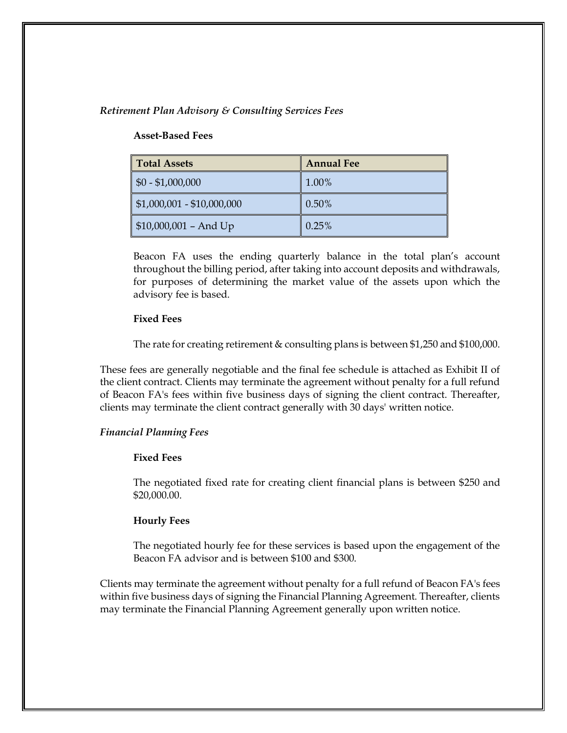#### *Retirement Plan Advisory & Consulting Services Fees*

#### **Asset-Based Fees**

| <b>Total Assets</b>                 | <b>Annual Fee</b> |  |
|-------------------------------------|-------------------|--|
| $$0 - $1,000,000$                   | 1.00%             |  |
| $$1,000,001 - $10,000,000$          | 0.50%             |  |
| $\frac{1}{2}$ \$10,000,001 – And Up | 0.25%             |  |

Beacon FA uses the ending quarterly balance in the total plan's account throughout the billing period, after taking into account deposits and withdrawals, for purposes of determining the market value of the assets upon which the advisory fee is based.

#### **Fixed Fees**

The rate for creating retirement & consulting plans is between \$1,250 and \$100,000.

These fees are generally negotiable and the final fee schedule is attached as Exhibit II of the client contract. Clients may terminate the agreement without penalty for a full refund of Beacon FA's fees within five business days of signing the client contract. Thereafter, clients may terminate the client contract generally with 30 days' written notice.

#### *Financial Planning Fees*

#### **Fixed Fees**

The negotiated fixed rate for creating client financial plans is between \$250 and \$20,000.00.

#### **Hourly Fees**

The negotiated hourly fee for these services is based upon the engagement of the Beacon FA advisor and is between \$100 and \$300.

Clients may terminate the agreement without penalty for a full refund of Beacon FA's fees within five business days of signing the Financial Planning Agreement. Thereafter, clients may terminate the Financial Planning Agreement generally upon written notice.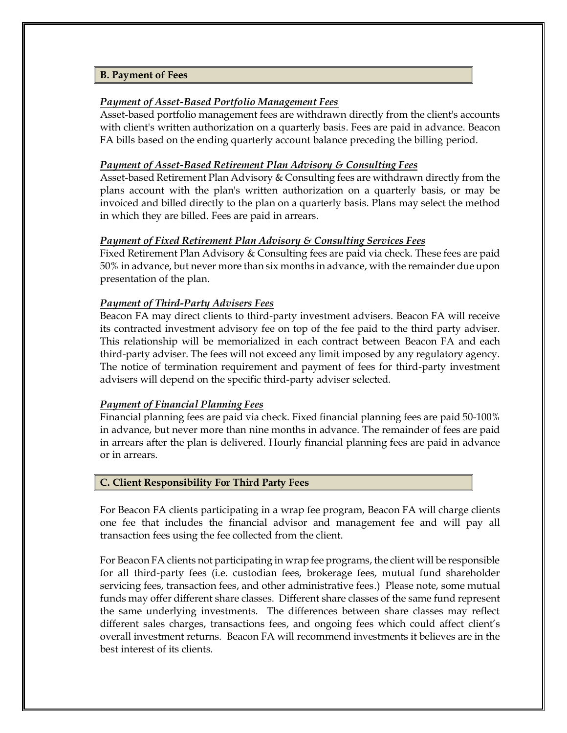#### <span id="page-8-0"></span>**B. Payment of Fees**

#### *Payment of Asset-Based Portfolio Management Fees*

Asset-based portfolio management fees are withdrawn directly from the client's accounts with client's written authorization on a quarterly basis. Fees are paid in advance. Beacon FA bills based on the ending quarterly account balance preceding the billing period.

#### *Payment of Asset-Based Retirement Plan Advisory & Consulting Fees*

Asset-based Retirement Plan Advisory & Consulting fees are withdrawn directly from the plans account with the plan's written authorization on a quarterly basis, or may be invoiced and billed directly to the plan on a quarterly basis. Plans may select the method in which they are billed. Fees are paid in arrears.

#### *Payment of Fixed Retirement Plan Advisory & Consulting Services Fees*

Fixed Retirement Plan Advisory & Consulting fees are paid via check. These fees are paid 50% in advance, but never more than six months in advance, with the remainder due upon presentation of the plan.

#### <span id="page-8-1"></span>*Payment of Third-Party Advisers Fees*

Beacon FA may direct clients to third-party investment advisers. Beacon FA will receive its contracted investment advisory fee on top of the fee paid to the third party adviser. This relationship will be memorialized in each contract between Beacon FA and each third-party adviser. The fees will not exceed any limit imposed by any regulatory agency. The notice of termination requirement and payment of fees for third-party investment advisers will depend on the specific third-party adviser selected.

#### *Payment of Financial Planning Fees*

Financial planning fees are paid via check. Fixed financial planning fees are paid 50-100% in advance, but never more than nine months in advance. The remainder of fees are paid in arrears after the plan is delivered. Hourly financial planning fees are paid in advance or in arrears.

#### <span id="page-8-2"></span>**C. Client Responsibility For Third Party Fees**

For Beacon FA clients participating in a wrap fee program, Beacon FA will charge clients one fee that includes the financial advisor and management fee and will pay all transaction fees using the fee collected from the client.

For Beacon FA clients not participating in wrap fee programs, the client will be responsible for all third-party fees (i.e. custodian fees, brokerage fees, mutual fund shareholder servicing fees, transaction fees, and other administrative fees.) Please note, some mutual funds may offer different share classes. Different share classes of the same fund represent the same underlying investments. The differences between share classes may reflect different sales charges, transactions fees, and ongoing fees which could affect client's overall investment returns. Beacon FA will recommend investments it believes are in the best interest of its clients.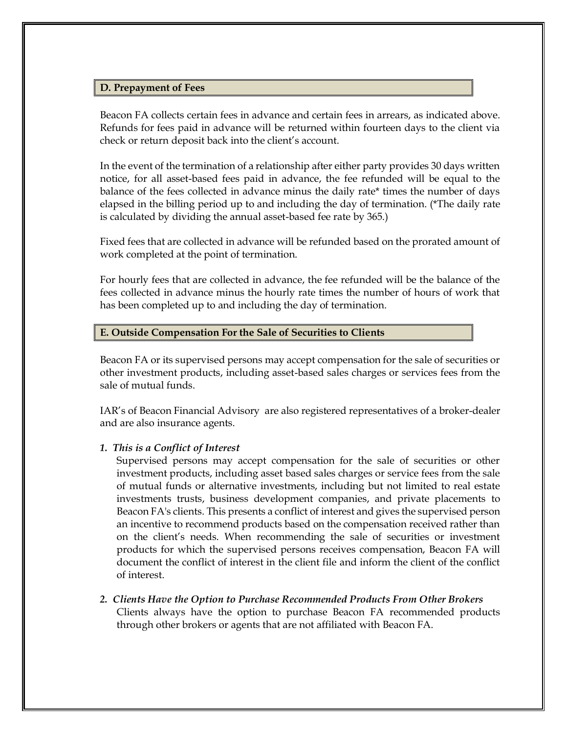#### <span id="page-9-0"></span>**D. Prepayment of Fees**

Beacon FA collects certain fees in advance and certain fees in arrears, as indicated above. Refunds for fees paid in advance will be returned within fourteen days to the client via check or return deposit back into the client's account.

In the event of the termination of a relationship after either party provides 30 days written notice, for all asset-based fees paid in advance, the fee refunded will be equal to the balance of the fees collected in advance minus the daily rate\* times the number of days elapsed in the billing period up to and including the day of termination. (\*The daily rate is calculated by dividing the annual asset-based fee rate by 365.)

Fixed fees that are collected in advance will be refunded based on the prorated amount of work completed at the point of termination.

For hourly fees that are collected in advance, the fee refunded will be the balance of the fees collected in advance minus the hourly rate times the number of hours of work that has been completed up to and including the day of termination.

#### <span id="page-9-1"></span>**E. Outside Compensation For the Sale of Securities to Clients**

Beacon FA or its supervised persons may accept compensation for the sale of securities or other investment products, including asset-based sales charges or services fees from the sale of mutual funds.

IAR's of Beacon Financial Advisory are also registered representatives of a broker-dealer and are also insurance agents.

#### *1. This is a Conflict of Interest*

Supervised persons may accept compensation for the sale of securities or other investment products, including asset based sales charges or service fees from the sale of mutual funds or alternative investments, including but not limited to real estate investments trusts, business development companies, and private placements to Beacon FA's clients. This presents a conflict of interest and gives the supervised person an incentive to recommend products based on the compensation received rather than on the client's needs. When recommending the sale of securities or investment products for which the supervised persons receives compensation, Beacon FA will document the conflict of interest in the client file and inform the client of the conflict of interest.

*2. Clients Have the Option to Purchase Recommended Products From Other Brokers* Clients always have the option to purchase Beacon FA recommended products through other brokers or agents that are not affiliated with Beacon FA.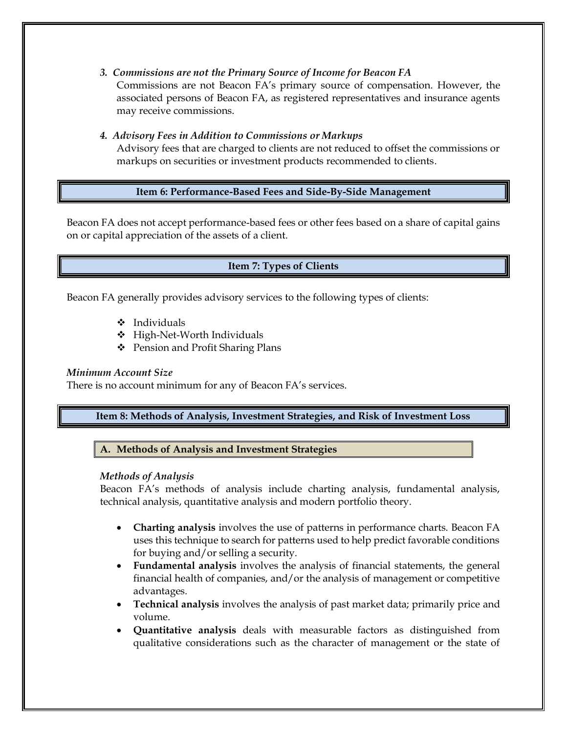*3. Commissions are not the Primary Source of Income for Beacon FA*

Commissions are not Beacon FA's primary source of compensation. However, the associated persons of Beacon FA, as registered representatives and insurance agents may receive commissions.

#### *4. Advisory Fees in Addition to Commissions or Markups*

Advisory fees that are charged to clients are not reduced to offset the commissions or markups on securities or investment products recommended to clients.

# **Item 6: Performance-Based Fees and Side-By-Side Management**

<span id="page-10-1"></span><span id="page-10-0"></span>Beacon FA does not accept performance-based fees or other fees based on a share of capital gains on or capital appreciation of the assets of a client.

# **Item 7: Types of Clients**

Beacon FA generally provides advisory services to the following types of clients:

- ❖ Individuals
- ❖ High-Net-Worth Individuals
- ❖ Pension and Profit Sharing Plans

#### *Minimum Account Size*

<span id="page-10-2"></span>There is no account minimum for any of Beacon FA's services.

# **Item 8: Methods of Analysis, Investment Strategies, and Risk of Investment Loss**

<span id="page-10-3"></span>**A. Methods of Analysis and Investment Strategies**

#### *Methods of Analysis*

Beacon FA's methods of analysis include charting analysis, fundamental analysis, technical analysis, quantitative analysis and modern portfolio theory.

- **Charting analysis** involves the use of patterns in performance charts. Beacon FA uses this technique to search for patterns used to help predict favorable conditions for buying and/or selling a security.
- **Fundamental analysis** involves the analysis of financial statements, the general financial health of companies, and/or the analysis of management or competitive advantages.
- **Technical analysis** involves the analysis of past market data; primarily price and volume.
- **Quantitative analysis** deals with measurable factors as distinguished from qualitative considerations such as the character of management or the state of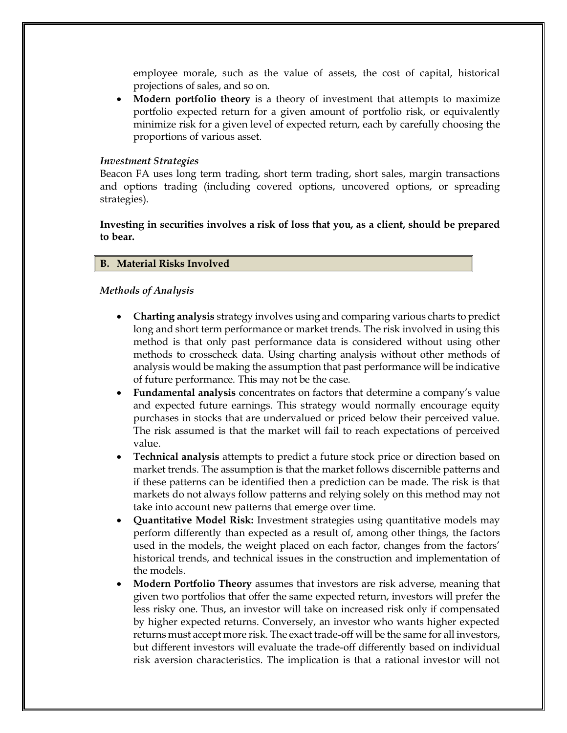employee morale, such as the value of assets, the cost of capital, historical projections of sales, and so on.

• **Modern portfolio theory** is a theory of investment that attempts to maximize portfolio expected return for a given amount of portfolio risk, or equivalently minimize risk for a given level of expected return, each by carefully choosing the proportions of various asset.

#### *Investment Strategies*

Beacon FA uses long term trading, short term trading, short sales, margin transactions and options trading (including covered options, uncovered options, or spreading strategies).

**Investing in securities involves a risk of loss that you, as a client, should be prepared to bear.**

#### <span id="page-11-0"></span>**B. Material Risks Involved**

#### *Methods of Analysis*

- **Charting analysis** strategy involves using and comparing various charts to predict long and short term performance or market trends. The risk involved in using this method is that only past performance data is considered without using other methods to crosscheck data. Using charting analysis without other methods of analysis would be making the assumption that past performance will be indicative of future performance. This may not be the case.
- **Fundamental analysis** concentrates on factors that determine a company's value and expected future earnings. This strategy would normally encourage equity purchases in stocks that are undervalued or priced below their perceived value. The risk assumed is that the market will fail to reach expectations of perceived value.
- **Technical analysis** attempts to predict a future stock price or direction based on market trends. The assumption is that the market follows discernible patterns and if these patterns can be identified then a prediction can be made. The risk is that markets do not always follow patterns and relying solely on this method may not take into account new patterns that emerge over time.
- **Quantitative Model Risk:** Investment strategies using quantitative models may perform differently than expected as a result of, among other things, the factors used in the models, the weight placed on each factor, changes from the factors' historical trends, and technical issues in the construction and implementation of the models.
- **Modern Portfolio Theory** assumes that investors are risk adverse, meaning that given two portfolios that offer the same expected return, investors will prefer the less risky one. Thus, an investor will take on increased risk only if compensated by higher expected returns. Conversely, an investor who wants higher expected returns must accept more risk. The exact trade-off will be the same for all investors, but different investors will evaluate the trade-off differently based on individual risk aversion characteristics. The implication is that a rational investor will not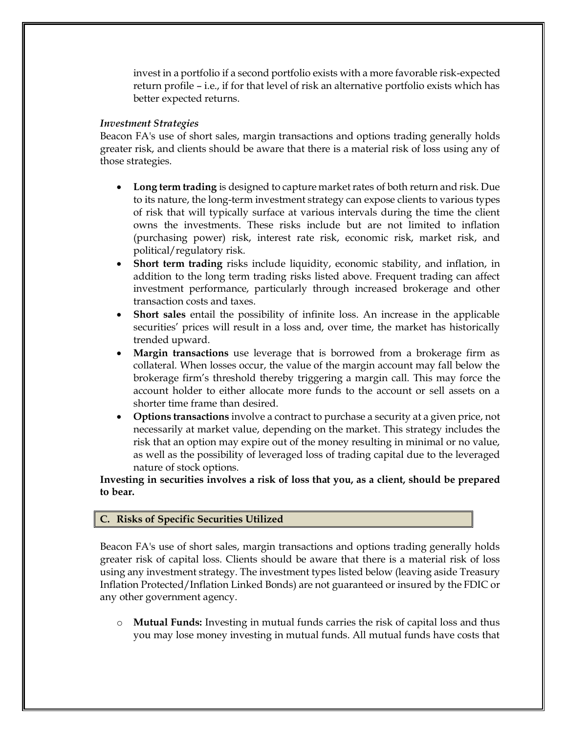invest in a portfolio if a second portfolio exists with a more favorable risk-expected return profile – i.e., if for that level of risk an alternative portfolio exists which has better expected returns.

#### *Investment Strategies*

Beacon FA's use of short sales, margin transactions and options trading generally holds greater risk, and clients should be aware that there is a material risk of loss using any of those strategies.

- **Long term trading** is designed to capture market rates of both return and risk. Due to its nature, the long-term investment strategy can expose clients to various types of risk that will typically surface at various intervals during the time the client owns the investments. These risks include but are not limited to inflation (purchasing power) risk, interest rate risk, economic risk, market risk, and political/regulatory risk.
- **Short term trading** risks include liquidity, economic stability, and inflation, in addition to the long term trading risks listed above. Frequent trading can affect investment performance, particularly through increased brokerage and other transaction costs and taxes.
- **Short sales** entail the possibility of infinite loss. An increase in the applicable securities' prices will result in a loss and, over time, the market has historically trended upward.
- **Margin transactions** use leverage that is borrowed from a brokerage firm as collateral. When losses occur, the value of the margin account may fall below the brokerage firm's threshold thereby triggering a margin call. This may force the account holder to either allocate more funds to the account or sell assets on a shorter time frame than desired.
- **Options transactions** involve a contract to purchase a security at a given price, not necessarily at market value, depending on the market. This strategy includes the risk that an option may expire out of the money resulting in minimal or no value, as well as the possibility of leveraged loss of trading capital due to the leveraged nature of stock options.

**Investing in securities involves a risk of loss that you, as a client, should be prepared to bear.**

#### <span id="page-12-0"></span>**C. Risks of Specific Securities Utilized**

Beacon FA's use of short sales, margin transactions and options trading generally holds greater risk of capital loss. Clients should be aware that there is a material risk of loss using any investment strategy. The investment types listed below (leaving aside Treasury Inflation Protected/Inflation Linked Bonds) are not guaranteed or insured by the FDIC or any other government agency.

o **Mutual Funds:** Investing in mutual funds carries the risk of capital loss and thus you may lose money investing in mutual funds. All mutual funds have costs that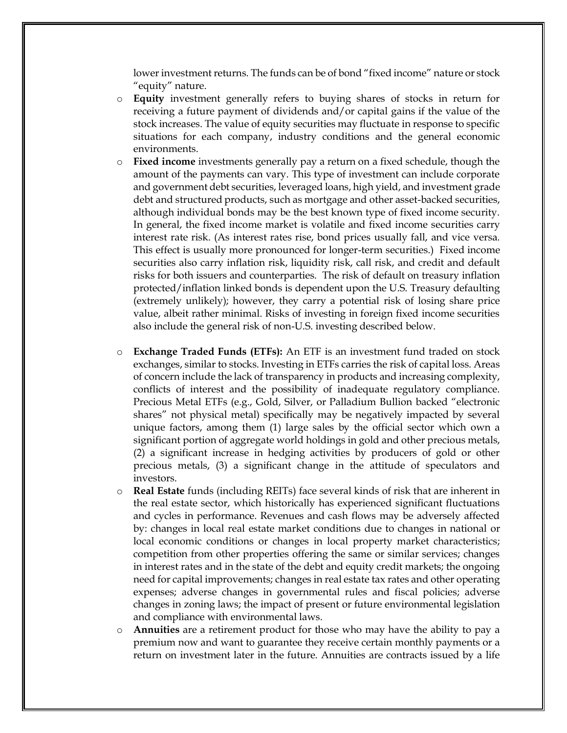lower investment returns. The funds can be of bond "fixed income" nature or stock "equity" nature.

- o **Equity** investment generally refers to buying shares of stocks in return for receiving a future payment of dividends and/or capital gains if the value of the stock increases. The value of equity securities may fluctuate in response to specific situations for each company, industry conditions and the general economic environments.
- o **Fixed income** investments generally pay a return on a fixed schedule, though the amount of the payments can vary. This type of investment can include corporate and government debt securities, leveraged loans, high yield, and investment grade debt and structured products, such as mortgage and other asset-backed securities, although individual bonds may be the best known type of fixed income security. In general, the fixed income market is volatile and fixed income securities carry interest rate risk. (As interest rates rise, bond prices usually fall, and vice versa. This effect is usually more pronounced for longer-term securities.) Fixed income securities also carry inflation risk, liquidity risk, call risk, and credit and default risks for both issuers and counterparties. The risk of default on treasury inflation protected/inflation linked bonds is dependent upon the U.S. Treasury defaulting (extremely unlikely); however, they carry a potential risk of losing share price value, albeit rather minimal. Risks of investing in foreign fixed income securities also include the general risk of non-U.S. investing described below.
- o **Exchange Traded Funds (ETFs):** An ETF is an investment fund traded on stock exchanges, similar to stocks. Investing in ETFs carries the risk of capital loss. Areas of concern include the lack of transparency in products and increasing complexity, conflicts of interest and the possibility of inadequate regulatory compliance. Precious Metal ETFs (e.g., Gold, Silver, or Palladium Bullion backed "electronic shares" not physical metal) specifically may be negatively impacted by several unique factors, among them (1) large sales by the official sector which own a significant portion of aggregate world holdings in gold and other precious metals, (2) a significant increase in hedging activities by producers of gold or other precious metals, (3) a significant change in the attitude of speculators and investors.
- o **Real Estate** funds (including REITs) face several kinds of risk that are inherent in the real estate sector, which historically has experienced significant fluctuations and cycles in performance. Revenues and cash flows may be adversely affected by: changes in local real estate market conditions due to changes in national or local economic conditions or changes in local property market characteristics; competition from other properties offering the same or similar services; changes in interest rates and in the state of the debt and equity credit markets; the ongoing need for capital improvements; changes in real estate tax rates and other operating expenses; adverse changes in governmental rules and fiscal policies; adverse changes in zoning laws; the impact of present or future environmental legislation and compliance with environmental laws.
- o **Annuities** are a retirement product for those who may have the ability to pay a premium now and want to guarantee they receive certain monthly payments or a return on investment later in the future. Annuities are contracts issued by a life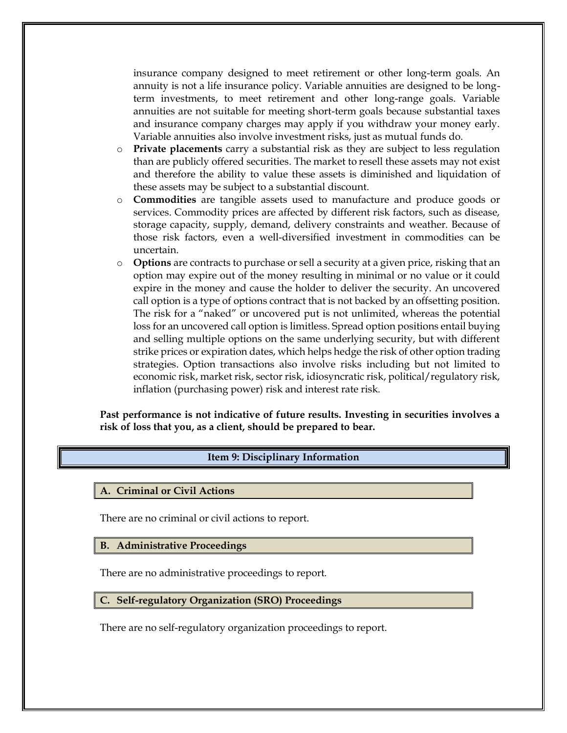insurance company designed to meet retirement or other long-term goals. An annuity is not a life insurance policy. Variable annuities are designed to be longterm investments, to meet retirement and other long-range goals. Variable annuities are not suitable for meeting short-term goals because substantial taxes and insurance company charges may apply if you withdraw your money early. Variable annuities also involve investment risks, just as mutual funds do.

- o **Private placements** carry a substantial risk as they are subject to less regulation than are publicly offered securities. The market to resell these assets may not exist and therefore the ability to value these assets is diminished and liquidation of these assets may be subject to a substantial discount.
- o **Commodities** are tangible assets used to manufacture and produce goods or services. Commodity prices are affected by different risk factors, such as disease, storage capacity, supply, demand, delivery constraints and weather. Because of those risk factors, even a well-diversified investment in commodities can be uncertain.
- o **Options** are contracts to purchase or sell a security at a given price, risking that an option may expire out of the money resulting in minimal or no value or it could expire in the money and cause the holder to deliver the security. An uncovered call option is a type of options contract that is not backed by an offsetting position. The risk for a "naked" or uncovered put is not unlimited, whereas the potential loss for an uncovered call option is limitless. Spread option positions entail buying and selling multiple options on the same underlying security, but with different strike prices or expiration dates, which helps hedge the risk of other option trading strategies. Option transactions also involve risks including but not limited to economic risk, market risk, sector risk, idiosyncratic risk, political/regulatory risk, inflation (purchasing power) risk and interest rate risk.

<span id="page-14-0"></span>**Past performance is not indicative of future results. Investing in securities involves a risk of loss that you, as a client, should be prepared to bear.**

#### **Item 9: Disciplinary Information**

<span id="page-14-1"></span>**A. Criminal or Civil Actions**

There are no criminal or civil actions to report.

<span id="page-14-2"></span>**B. Administrative Proceedings**

There are no administrative proceedings to report.

#### <span id="page-14-3"></span>**C. Self-regulatory Organization (SRO) Proceedings**

There are no self-regulatory organization proceedings to report.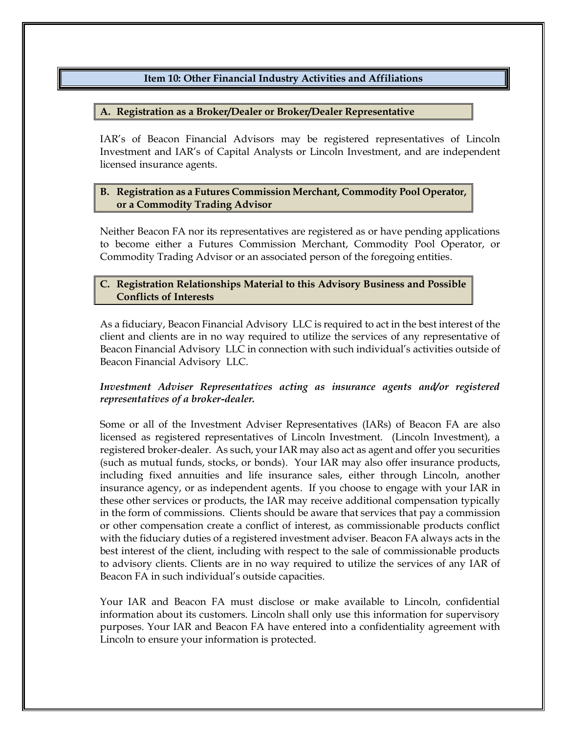# **Item 10: Other Financial Industry Activities and Affiliations**

#### <span id="page-15-1"></span><span id="page-15-0"></span>**A. Registration as a Broker/Dealer or Broker/Dealer Representative**

IAR's of Beacon Financial Advisors may be registered representatives of Lincoln Investment and IAR's of Capital Analysts or Lincoln Investment, and are independent licensed insurance agents.

# <span id="page-15-2"></span>**B. Registration as a Futures Commission Merchant, Commodity Pool Operator, or a Commodity Trading Advisor**

Neither Beacon FA nor its representatives are registered as or have pending applications to become either a Futures Commission Merchant, Commodity Pool Operator, or Commodity Trading Advisor or an associated person of the foregoing entities.

#### <span id="page-15-3"></span>**C. Registration Relationships Material to this Advisory Business and Possible Conflicts of Interests**

As a fiduciary, Beacon Financial Advisory LLC is required to act in the best interest of the client and clients are in no way required to utilize the services of any representative of Beacon Financial Advisory LLC in connection with such individual's activities outside of Beacon Financial Advisory LLC.

# *Investment Adviser Representatives acting as insurance agents and/or registered representatives of a broker-dealer.*

Some or all of the Investment Adviser Representatives (IARs) of Beacon FA are also licensed as registered representatives of Lincoln Investment. (Lincoln Investment), a registered broker-dealer. As such, your IAR may also act as agent and offer you securities (such as mutual funds, stocks, or bonds). Your IAR may also offer insurance products, including fixed annuities and life insurance sales, either through Lincoln, another insurance agency, or as independent agents. If you choose to engage with your IAR in these other services or products, the IAR may receive additional compensation typically in the form of commissions. Clients should be aware that services that pay a commission or other compensation create a conflict of interest, as commissionable products conflict with the fiduciary duties of a registered investment adviser. Beacon FA always acts in the best interest of the client, including with respect to the sale of commissionable products to advisory clients. Clients are in no way required to utilize the services of any IAR of Beacon FA in such individual's outside capacities.

Your IAR and Beacon FA must disclose or make available to Lincoln, confidential information about its customers. Lincoln shall only use this information for supervisory purposes. Your IAR and Beacon FA have entered into a confidentiality agreement with Lincoln to ensure your information is protected.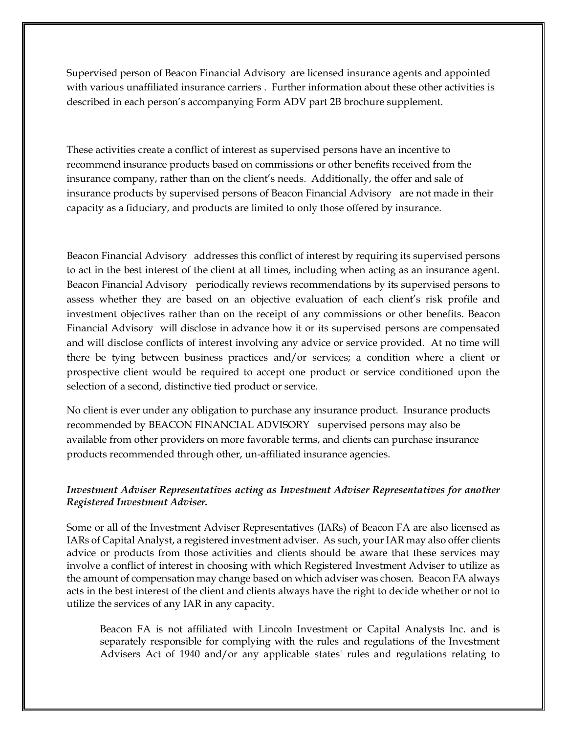Supervised person of Beacon Financial Advisory are licensed insurance agents and appointed with various unaffiliated insurance carriers . Further information about these other activities is described in each person's accompanying Form ADV part 2B brochure supplement.

These activities create a conflict of interest as supervised persons have an incentive to recommend insurance products based on commissions or other benefits received from the insurance company, rather than on the client's needs. Additionally, the offer and sale of insurance products by supervised persons of Beacon Financial Advisory are not made in their capacity as a fiduciary, and products are limited to only those offered by insurance.

Beacon Financial Advisory addresses this conflict of interest by requiring its supervised persons to act in the best interest of the client at all times, including when acting as an insurance agent. Beacon Financial Advisory periodically reviews recommendations by its supervised persons to assess whether they are based on an objective evaluation of each client's risk profile and investment objectives rather than on the receipt of any commissions or other benefits. Beacon Financial Advisory will disclose in advance how it or its supervised persons are compensated and will disclose conflicts of interest involving any advice or service provided. At no time will there be tying between business practices and/or services; a condition where a client or prospective client would be required to accept one product or service conditioned upon the selection of a second, distinctive tied product or service.

No client is ever under any obligation to purchase any insurance product. Insurance products recommended by BEACON FINANCIAL ADVISORY supervised persons may also be available from other providers on more favorable terms, and clients can purchase insurance products recommended through other, un-affiliated insurance agencies.

# *Investment Adviser Representatives acting as Investment Adviser Representatives for another Registered Investment Adviser.*

Some or all of the Investment Adviser Representatives (IARs) of Beacon FA are also licensed as IARs of Capital Analyst, a registered investment adviser. As such, your IAR may also offer clients advice or products from those activities and clients should be aware that these services may involve a conflict of interest in choosing with which Registered Investment Adviser to utilize as the amount of compensation may change based on which adviser was chosen. Beacon FA always acts in the best interest of the client and clients always have the right to decide whether or not to utilize the services of any IAR in any capacity.

Beacon FA is not affiliated with Lincoln Investment or Capital Analysts Inc. and is separately responsible for complying with the rules and regulations of the Investment Advisers Act of 1940 and/or any applicable states' rules and regulations relating to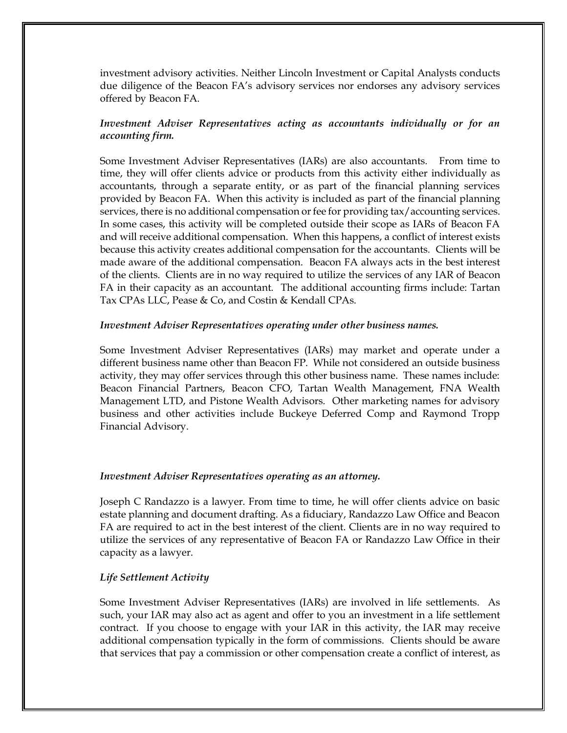investment advisory activities. Neither Lincoln Investment or Capital Analysts conducts due diligence of the Beacon FA's advisory services nor endorses any advisory services offered by Beacon FA.

# *Investment Adviser Representatives acting as accountants individually or for an accounting firm.*

Some Investment Adviser Representatives (IARs) are also accountants. From time to time, they will offer clients advice or products from this activity either individually as accountants, through a separate entity, or as part of the financial planning services provided by Beacon FA. When this activity is included as part of the financial planning services, there is no additional compensation or fee for providing tax/accounting services. In some cases, this activity will be completed outside their scope as IARs of Beacon FA and will receive additional compensation. When this happens, a conflict of interest exists because this activity creates additional compensation for the accountants. Clients will be made aware of the additional compensation. Beacon FA always acts in the best interest of the clients. Clients are in no way required to utilize the services of any IAR of Beacon FA in their capacity as an accountant. The additional accounting firms include: Tartan Tax CPAs LLC, Pease & Co, and Costin & Kendall CPAs.

#### *Investment Adviser Representatives operating under other business names.*

Some Investment Adviser Representatives (IARs) may market and operate under a different business name other than Beacon FP. While not considered an outside business activity, they may offer services through this other business name. These names include: Beacon Financial Partners, Beacon CFO, Tartan Wealth Management, FNA Wealth Management LTD, and Pistone Wealth Advisors. Other marketing names for advisory business and other activities include Buckeye Deferred Comp and Raymond Tropp Financial Advisory.

#### *Investment Adviser Representatives operating as an attorney.*

Joseph C Randazzo is a lawyer. From time to time, he will offer clients advice on basic estate planning and document drafting. As a fiduciary, Randazzo Law Office and Beacon FA are required to act in the best interest of the client. Clients are in no way required to utilize the services of any representative of Beacon FA or Randazzo Law Office in their capacity as a lawyer.

#### *Life Settlement Activity*

Some Investment Adviser Representatives (IARs) are involved in life settlements. As such, your IAR may also act as agent and offer to you an investment in a life settlement contract. If you choose to engage with your IAR in this activity, the IAR may receive additional compensation typically in the form of commissions. Clients should be aware that services that pay a commission or other compensation create a conflict of interest, as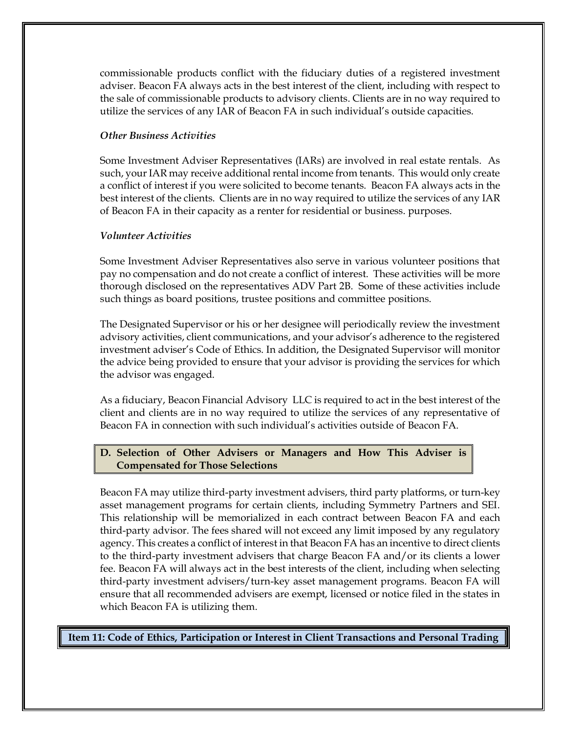commissionable products conflict with the fiduciary duties of a registered investment adviser. Beacon FA always acts in the best interest of the client, including with respect to the sale of commissionable products to advisory clients. Clients are in no way required to utilize the services of any IAR of Beacon FA in such individual's outside capacities.

# *Other Business Activities*

Some Investment Adviser Representatives (IARs) are involved in real estate rentals. As such, your IAR may receive additional rental income from tenants. This would only create a conflict of interest if you were solicited to become tenants. Beacon FA always acts in the best interest of the clients. Clients are in no way required to utilize the services of any IAR of Beacon FA in their capacity as a renter for residential or business. purposes.

#### *Volunteer Activities*

Some Investment Adviser Representatives also serve in various volunteer positions that pay no compensation and do not create a conflict of interest. These activities will be more thorough disclosed on the representatives ADV Part 2B. Some of these activities include such things as board positions, trustee positions and committee positions.

The Designated Supervisor or his or her designee will periodically review the investment advisory activities, client communications, and your advisor's adherence to the registered investment adviser's Code of Ethics. In addition, the Designated Supervisor will monitor the advice being provided to ensure that your advisor is providing the services for which the advisor was engaged.

As a fiduciary, Beacon Financial Advisory LLC is required to act in the best interest of the client and clients are in no way required to utilize the services of any representative of Beacon FA in connection with such individual's activities outside of Beacon FA.

# <span id="page-18-0"></span>**D. Selection of Other Advisers or Managers and How This Adviser is Compensated for Those Selections**

Beacon FA may utilize third-party investment advisers, third party platforms, or turn-key asset management programs for certain clients, including Symmetry Partners and SEI. This relationship will be memorialized in each contract between Beacon FA and each third-party advisor. The fees shared will not exceed any limit imposed by any regulatory agency. This creates a conflict of interest in that Beacon FA has an incentive to direct clients to the third-party investment advisers that charge Beacon FA and/or its clients a lower fee. Beacon FA will always act in the best interests of the client, including when selecting third-party investment advisers/turn-key asset management programs. Beacon FA will ensure that all recommended advisers are exempt, licensed or notice filed in the states in which Beacon FA is utilizing them.

<span id="page-18-1"></span>**Item 11: Code of Ethics, Participation or Interest in Client Transactions and Personal Trading**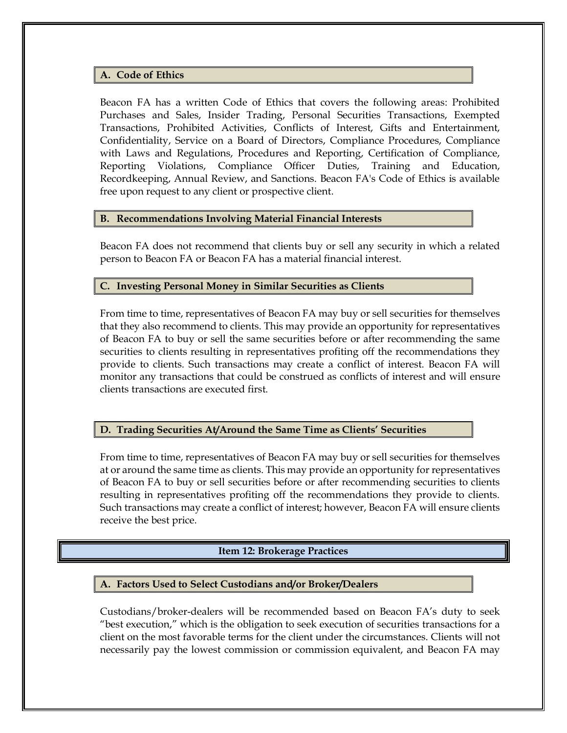#### <span id="page-19-0"></span>**A. Code of Ethics**

Beacon FA has a written Code of Ethics that covers the following areas: Prohibited Purchases and Sales, Insider Trading, Personal Securities Transactions, Exempted Transactions, Prohibited Activities, Conflicts of Interest, Gifts and Entertainment, Confidentiality, Service on a Board of Directors, Compliance Procedures, Compliance with Laws and Regulations, Procedures and Reporting, Certification of Compliance, Reporting Violations, Compliance Officer Duties, Training and Education, Recordkeeping, Annual Review, and Sanctions. Beacon FA's Code of Ethics is available free upon request to any client or prospective client.

#### <span id="page-19-1"></span>**B. Recommendations Involving Material Financial Interests**

Beacon FA does not recommend that clients buy or sell any security in which a related person to Beacon FA or Beacon FA has a material financial interest.

#### <span id="page-19-2"></span>**C. Investing Personal Money in Similar Securities as Clients**

From time to time, representatives of Beacon FA may buy or sell securities for themselves that they also recommend to clients. This may provide an opportunity for representatives of Beacon FA to buy or sell the same securities before or after recommending the same securities to clients resulting in representatives profiting off the recommendations they provide to clients. Such transactions may create a conflict of interest. Beacon FA will monitor any transactions that could be construed as conflicts of interest and will ensure clients transactions are executed first.

#### <span id="page-19-3"></span>**D. Trading Securities At/Around the Same Time as Clients' Securities**

From time to time, representatives of Beacon FA may buy or sell securities for themselves at or around the same time as clients. This may provide an opportunity for representatives of Beacon FA to buy or sell securities before or after recommending securities to clients resulting in representatives profiting off the recommendations they provide to clients. Such transactions may create a conflict of interest; however, Beacon FA will ensure clients receive the best price.

#### **Item 12: Brokerage Practices**

#### <span id="page-19-5"></span><span id="page-19-4"></span>**A. Factors Used to Select Custodians and/or Broker/Dealers**

Custodians/broker-dealers will be recommended based on Beacon FA's duty to seek "best execution," which is the obligation to seek execution of securities transactions for a client on the most favorable terms for the client under the circumstances. Clients will not necessarily pay the lowest commission or commission equivalent, and Beacon FA may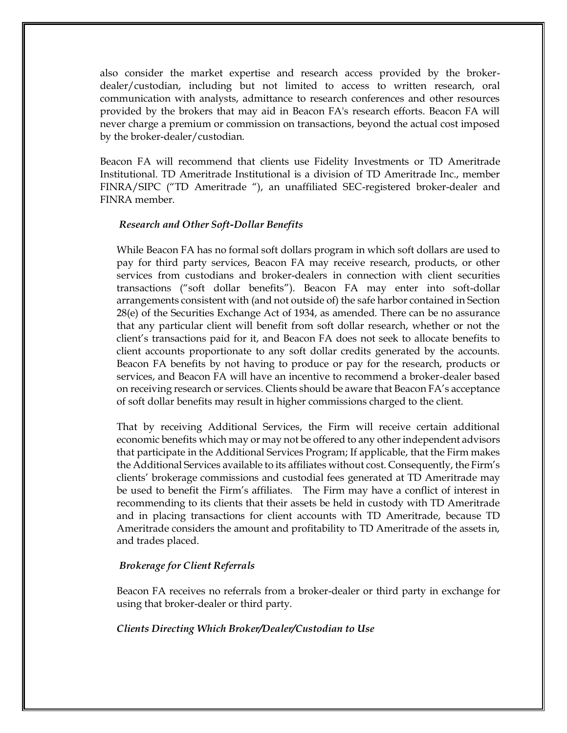also consider the market expertise and research access provided by the brokerdealer/custodian, including but not limited to access to written research, oral communication with analysts, admittance to research conferences and other resources provided by the brokers that may aid in Beacon FA's research efforts. Beacon FA will never charge a premium or commission on transactions, beyond the actual cost imposed by the broker-dealer/custodian.

Beacon FA will recommend that clients use Fidelity Investments or TD Ameritrade Institutional. TD Ameritrade Institutional is a division of TD Ameritrade Inc., member FINRA/SIPC ("TD Ameritrade "), an unaffiliated SEC-registered broker-dealer and FINRA member.

#### <span id="page-20-0"></span>*Research and Other Soft-Dollar Benefits*

While Beacon FA has no formal soft dollars program in which soft dollars are used to pay for third party services, Beacon FA may receive research, products, or other services from custodians and broker-dealers in connection with client securities transactions ("soft dollar benefits"). Beacon FA may enter into soft-dollar arrangements consistent with (and not outside of) the safe harbor contained in Section 28(e) of the Securities Exchange Act of 1934, as amended. There can be no assurance that any particular client will benefit from soft dollar research, whether or not the client's transactions paid for it, and Beacon FA does not seek to allocate benefits to client accounts proportionate to any soft dollar credits generated by the accounts. Beacon FA benefits by not having to produce or pay for the research, products or services, and Beacon FA will have an incentive to recommend a broker-dealer based on receiving research or services. Clients should be aware that Beacon FA's acceptance of soft dollar benefits may result in higher commissions charged to the client.

That by receiving Additional Services, the Firm will receive certain additional economic benefits which may or may not be offered to any other independent advisors that participate in the Additional Services Program; If applicable, that the Firm makes the Additional Services available to its affiliates without cost. Consequently, the Firm's clients' brokerage commissions and custodial fees generated at TD Ameritrade may be used to benefit the Firm's affiliates. The Firm may have a conflict of interest in recommending to its clients that their assets be held in custody with TD Ameritrade and in placing transactions for client accounts with TD Ameritrade, because TD Ameritrade considers the amount and profitability to TD Ameritrade of the assets in, and trades placed.

#### <span id="page-20-1"></span>*Brokerage for Client Referrals*

Beacon FA receives no referrals from a broker-dealer or third party in exchange for using that broker-dealer or third party.

#### <span id="page-20-2"></span>*Clients Directing Which Broker/Dealer/Custodian to Use*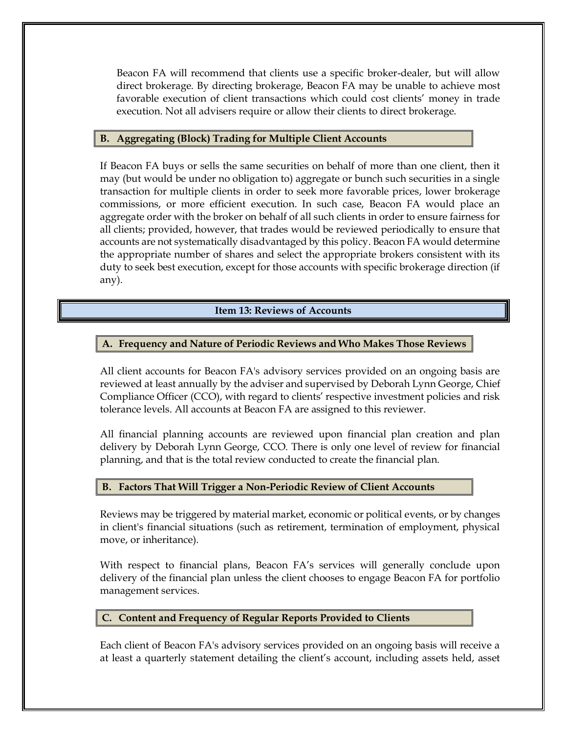Beacon FA will recommend that clients use a specific broker-dealer, but will allow direct brokerage. By directing brokerage, Beacon FA may be unable to achieve most favorable execution of client transactions which could cost clients' money in trade execution. Not all advisers require or allow their clients to direct brokerage.

#### <span id="page-21-0"></span>**B. Aggregating (Block) Trading for Multiple Client Accounts**

If Beacon FA buys or sells the same securities on behalf of more than one client, then it may (but would be under no obligation to) aggregate or bunch such securities in a single transaction for multiple clients in order to seek more favorable prices, lower brokerage commissions, or more efficient execution. In such case, Beacon FA would place an aggregate order with the broker on behalf of all such clients in order to ensure fairness for all clients; provided, however, that trades would be reviewed periodically to ensure that accounts are not systematically disadvantaged by this policy. Beacon FA would determine the appropriate number of shares and select the appropriate brokers consistent with its duty to seek best execution, except for those accounts with specific brokerage direction (if any).

# **Item 13: Reviews of Accounts**

# <span id="page-21-2"></span><span id="page-21-1"></span>**A. Frequency and Nature of Periodic Reviews and Who Makes Those Reviews**

All client accounts for Beacon FA's advisory services provided on an ongoing basis are reviewed at least annually by the adviser and supervised by Deborah Lynn George, Chief Compliance Officer (CCO), with regard to clients' respective investment policies and risk tolerance levels. All accounts at Beacon FA are assigned to this reviewer.

All financial planning accounts are reviewed upon financial plan creation and plan delivery by Deborah Lynn George, CCO. There is only one level of review for financial planning, and that is the total review conducted to create the financial plan.

#### <span id="page-21-3"></span>**B. Factors That Will Trigger a Non-Periodic Review of Client Accounts**

Reviews may be triggered by material market, economic or political events, or by changes in client's financial situations (such as retirement, termination of employment, physical move, or inheritance).

With respect to financial plans, Beacon FA's services will generally conclude upon delivery of the financial plan unless the client chooses to engage Beacon FA for portfolio management services.

#### <span id="page-21-4"></span>**C. Content and Frequency of Regular Reports Provided to Clients**

Each client of Beacon FA's advisory services provided on an ongoing basis will receive a at least a quarterly statement detailing the client's account, including assets held, asset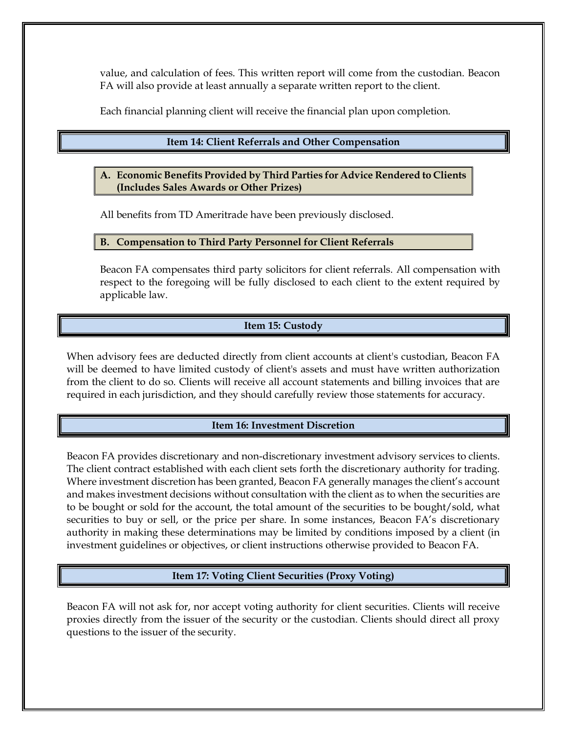value, and calculation of fees. This written report will come from the custodian. Beacon FA will also provide at least annually a separate written report to the client.

Each financial planning client will receive the financial plan upon completion.

#### **Item 14: Client Referrals and Other Compensation**

<span id="page-22-0"></span>**A. Economic Benefits Provided by Third Parties for Advice Rendered to Clients (Includes Sales Awards or Other Prizes)**

All benefits from TD Ameritrade have been previously disclosed.

#### <span id="page-22-1"></span>**B. Compensation to Third Party Personnel for Client Referrals**

Beacon FA compensates third party solicitors for client referrals. All compensation with respect to the foregoing will be fully disclosed to each client to the extent required by applicable law.

#### **Item 15: Custody**

<span id="page-22-2"></span>When advisory fees are deducted directly from client accounts at client's custodian, Beacon FA will be deemed to have limited custody of client's assets and must have written authorization from the client to do so. Clients will receive all account statements and billing invoices that are required in each jurisdiction, and they should carefully review those statements for accuracy.

#### **Item 16: Investment Discretion**

<span id="page-22-3"></span>Beacon FA provides discretionary and non-discretionary investment advisory services to clients. The client contract established with each client sets forth the discretionary authority for trading. Where investment discretion has been granted, Beacon FA generally manages the client's account and makes investment decisions without consultation with the client as to when the securities are to be bought or sold for the account, the total amount of the securities to be bought/sold, what securities to buy or sell, or the price per share. In some instances, Beacon FA's discretionary authority in making these determinations may be limited by conditions imposed by a client (in investment guidelines or objectives, or client instructions otherwise provided to Beacon FA.

# **Item 17: Voting Client Securities (Proxy Voting)**

<span id="page-22-4"></span>Beacon FA will not ask for, nor accept voting authority for client securities. Clients will receive proxies directly from the issuer of the security or the custodian. Clients should direct all proxy questions to the issuer of the security.